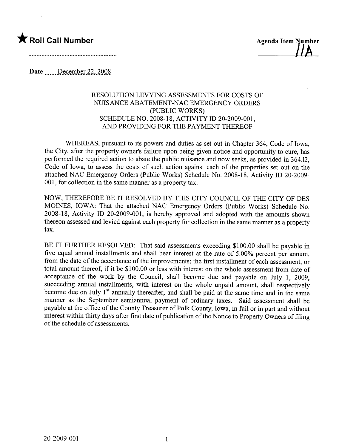## \* Roll Call Number Agenda Item Number



Date December 22, 2008

## RESOLUTION LEVYING ASSESSMENTS FOR COSTS OF NUISANCE ABATEMENT-NAC EMERGENCY ORDERS (PUBLIC WORKS) SCHEDULE NO. 2008-18, ACTIVITY ID 20-2009-001, AND PROVIDING FOR THE PAYMENT THEREOF

WHEREAS, pursuant to its powers and duties as set out in Chapter 364, Code of Iowa, the City, after the property owner's failure upon being given notice and opportunity to cure, has performed the required action to abate the public nuisance and now seeks, as provided in 364.12, Code of Iowa, to assess the costs of such action against each of the properties set out on the attached NAC Emergency Orders (Public Works) Schedule No. 2008-18, Activity ID 20-2009- 001, for collection in the same manner as a property tax.

NOW, THEREFORE BE IT RESOLVED BY THIS CITY COUNCIL OF THE CITY OF DES MOINES, IOWA: That the attached NAC Emergency Orders (Public Works) Schedule No. 2008-18, Activity ID 20-2009-001, is hereby approved and adopted with the amounts shown thereon assessed and levied against each property for collection in the same manner as a property tax.

BE IT FURTHER RESOLVED: That said assessments exceeding \$100.00 shall be payable in five equal annual installments and shall bear interest at the rate of 5.00% percent per annum, from the date of the acceptance of the improvements; the first installment of each assessment, or total amount thereof, if it be \$100.00 or less with interest on the whole assessment from date of acceptance of the work by the Council, shall become due and payable on July 1, 2009, succeeding annual installments, with interest on the whole unpaid amount, shall respectively become due on July  $1<sup>st</sup>$  annually thereafter, and shall be paid at the same time and in the same manner as the September semiannual payment of ordinary taxes. Said assessment shall be payable at the office of the County Treasurer of Polk County, Iowa, in full or in part and without interest within thirty days after first date of publication of the Notice to Property Owners of filing of the schedule of assessments.